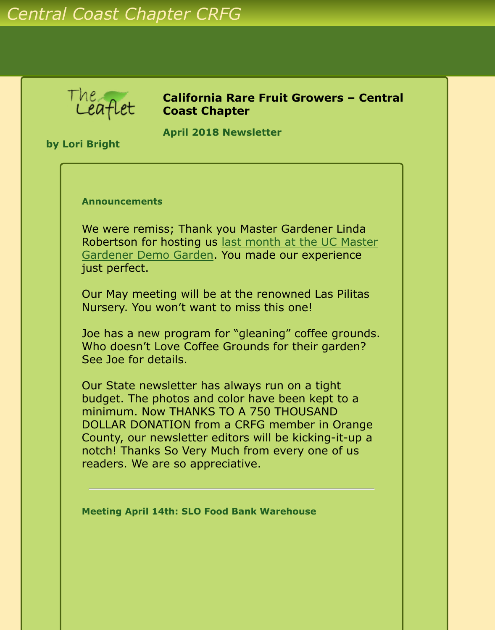# *Central Coast Chapter CRFG*

The,

**California Rare Fruit Growers – Central Coast Chapter**

**by Lori Bright**

**April 2018 Newsletter** 

#### **Announcements**

We were remiss; Thank you Master Gardener Linda [Robertson for hosting us last month at the UC Master](http://www.crfg-central.org/Newsletters/2018/Mar/crfgccNewsletter2018Mar.html) Gardener Demo Garden. You made our experience just perfect.

Our May meeting will be at the renowned Las Pilitas Nursery. You won't want to miss this one!

Joe has a new program for "gleaning" coffee grounds. Who doesn't Love Coffee Grounds for their garden? See Joe for details.

Our State newsletter has always run on a tight budget. The photos and color have been kept to a minimum. Now THANKS TO A 750 THOUSAND DOLLAR DONATION from a CRFG member in Orange County, our newsletter editors will be kicking-it-up a notch! Thanks So Very Much from every one of us readers. We are so appreciative.

**Meeting April 14th: SLO Food Bank Warehouse**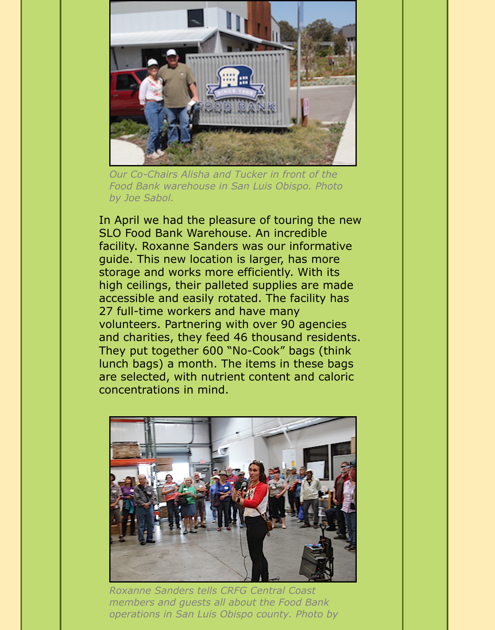

*Our Co-Chairs Alisha and Tucker in front of the Food Bank warehouse in San Luis Obispo. Photo by Joe Sabol.*

In April we had the pleasure of touring the new SLO Food Bank Warehouse. An incredible facility. Roxanne Sanders was our informative guide. This new location is larger, has more storage and works more efficiently. With its high ceilings, their palleted supplies are made accessible and easily rotated. The facility has 27 full-time workers and have many volunteers. Partnering with over 90 agencies and charities, they feed 46 thousand residents. They put together 600 "No-Cook" bags (think lunch bags) a month. The items in these bags are selected, with nutrient content and caloric concentrations in mind.



*Roxanne Sanders tells CRFG Central Coast members and guests all about the Food Bank operations in San Luis Obispo county. Photo by*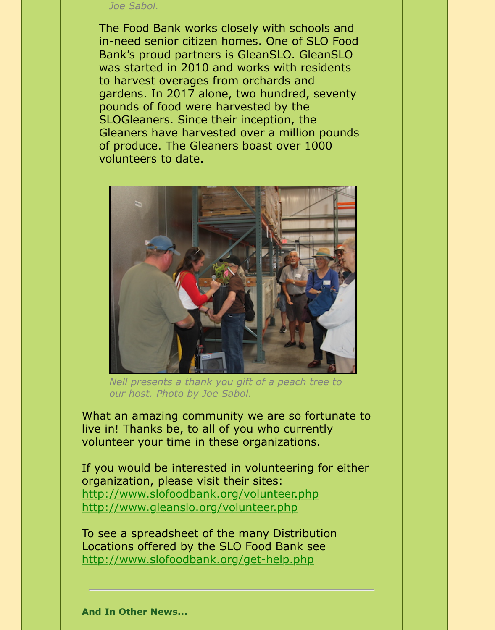#### *Joe Sabol.*

The Food Bank works closely with schools and in-need senior citizen homes. One of SLO Food Bank's proud partners is GleanSLO. GleanSLO was started in 2010 and works with residents to harvest overages from orchards and gardens. In 2017 alone, two hundred, seventy pounds of food were harvested by the SLOGleaners. Since their inception, the Gleaners have harvested over a million pounds of produce. The Gleaners boast over 1000 volunteers to date.



*Nell presents a thank you gift of a peach tree to our host. Photo by Joe Sabol.*

What an amazing community we are so fortunate to live in! Thanks be, to all of you who currently volunteer your time in these organizations.

If you would be interested in volunteering for either organization, please visit their sites: <http://www.slofoodbank.org/volunteer.php> <http://www.gleanslo.org/volunteer.php>

To see a spreadsheet of the many Distribution Locations offered by the SLO Food Bank see <http://www.slofoodbank.org/get-help.php>

**And In Other News...**